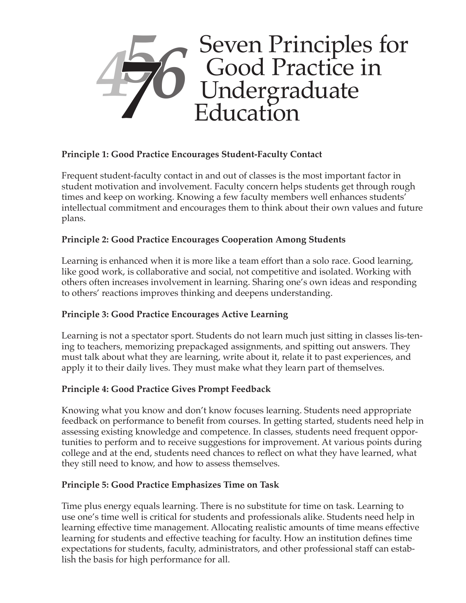

# **Principle 1: Good Practice Encourages Student-Faculty Contact**

Frequent student-faculty contact in and out of classes is the most important factor in student motivation and involvement. Faculty concern helps students get through rough times and keep on working. Knowing a few faculty members well enhances students' intellectual commitment and encourages them to think about their own values and future plans.

### **Principle 2: Good Practice Encourages Cooperation Among Students**

Learning is enhanced when it is more like a team effort than a solo race. Good learning, like good work, is collaborative and social, not competitive and isolated. Working with others often increases involvement in learning. Sharing one's own ideas and responding to others' reactions improves thinking and deepens understanding.

### **Principle 3: Good Practice Encourages Active Learning**

Learning is not a spectator sport. Students do not learn much just sitting in classes lis-tening to teachers, memorizing prepackaged assignments, and spitting out answers. They must talk about what they are learning, write about it, relate it to past experiences, and apply it to their daily lives. They must make what they learn part of themselves.

### **Principle 4: Good Practice Gives Prompt Feedback**

Knowing what you know and don't know focuses learning. Students need appropriate feedback on performance to benefit from courses. In getting started, students need help in assessing existing knowledge and competence. In classes, students need frequent opportunities to perform and to receive suggestions for improvement. At various points during college and at the end, students need chances to reflect on what they have learned, what they still need to know, and how to assess themselves.

#### **Principle 5: Good Practice Emphasizes Time on Task**

Time plus energy equals learning. There is no substitute for time on task. Learning to use one's time well is critical for students and professionals alike. Students need help in learning effective time management. Allocating realistic amounts of time means effective learning for students and effective teaching for faculty. How an institution defines time expectations for students, faculty, administrators, and other professional staff can establish the basis for high performance for all.